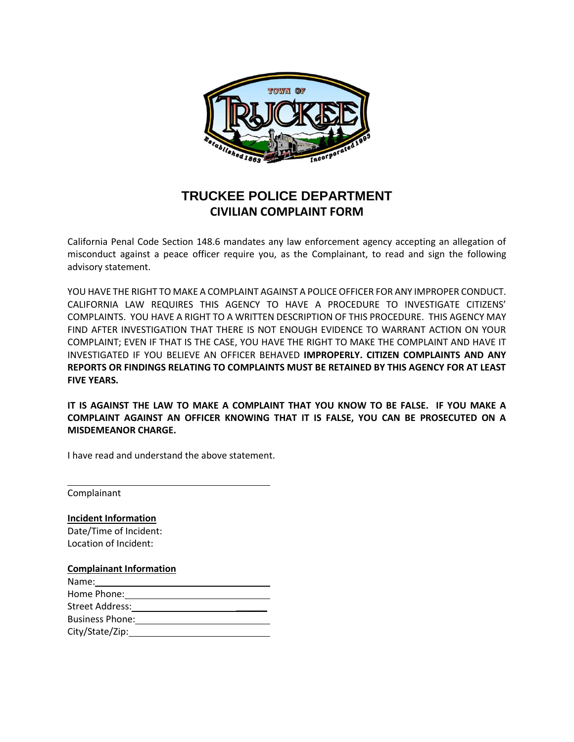

## **TRUCKEE POLICE DEPARTMENT CIVILIAN COMPLAINT FORM**

California Penal Code Section 148.6 mandates any law enforcement agency accepting an allegation of misconduct against a peace officer require you, as the Complainant, to read and sign the following advisory statement.

YOU HAVE THE RIGHT TO MAKE A COMPLAINT AGAINST A POLICE OFFICER FOR ANY IMPROPER CONDUCT. CALIFORNIA LAW REQUIRES THIS AGENCY TO HAVE A PROCEDURE TO INVESTIGATE CITIZENS' COMPLAINTS. YOU HAVE A RIGHT TO A WRITTEN DESCRIPTION OF THIS PROCEDURE. THIS AGENCY MAY FIND AFTER INVESTIGATION THAT THERE IS NOT ENOUGH EVIDENCE TO WARRANT ACTION ON YOUR COMPLAINT; EVEN IF THAT IS THE CASE, YOU HAVE THE RIGHT TO MAKE THE COMPLAINT AND HAVE IT INVESTIGATED IF YOU BELIEVE AN OFFICER BEHAVED **IMPROPERLY. CITIZEN COMPLAINTS AND ANY REPORTS OR FINDINGS RELATING TO COMPLAINTS MUST BE RETAINED BY THIS AGENCY FOR AT LEAST FIVE YEARS.** 

**IT IS AGAINST THE LAW TO MAKE A COMPLAINT THAT YOU KNOW TO BE FALSE. IF YOU MAKE A COMPLAINT AGAINST AN OFFICER KNOWING THAT IT IS FALSE, YOU CAN BE PROSECUTED ON A MISDEMEANOR CHARGE.**

I have read and understand the above statement.

Complainant

**Incident Information** Date/Time of Incident: Location of Incident:

## **Complainant Information**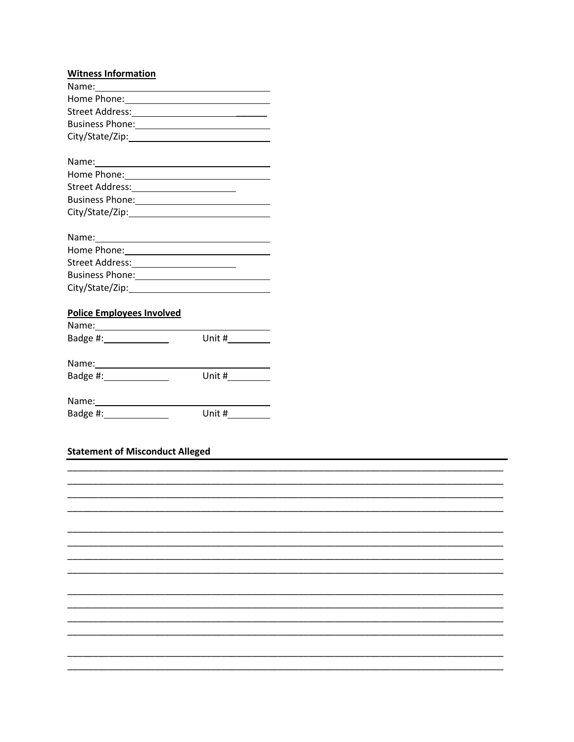| <b>Witness Information</b>                                                                                                                                                                                                     |                                                                                       |  |
|--------------------------------------------------------------------------------------------------------------------------------------------------------------------------------------------------------------------------------|---------------------------------------------------------------------------------------|--|
|                                                                                                                                                                                                                                |                                                                                       |  |
| Home Phone: New York Changes and Changes and Changes and Changes and Changes and Changes and Changes and Changes and Changes and Changes and Changes and Changes and Changes and Changes and Changes and Changes and Changes a |                                                                                       |  |
|                                                                                                                                                                                                                                |                                                                                       |  |
| Business Phone: 1999 - 1999 - 1999 - 1999 - 1999 - 1999 - 1999 - 1999 - 1999 - 1999 - 1999 - 1999 - 1999 - 19                                                                                                                  |                                                                                       |  |
|                                                                                                                                                                                                                                |                                                                                       |  |
|                                                                                                                                                                                                                                |                                                                                       |  |
| Home Phone: 1999                                                                                                                                                                                                               |                                                                                       |  |
|                                                                                                                                                                                                                                |                                                                                       |  |
|                                                                                                                                                                                                                                |                                                                                       |  |
|                                                                                                                                                                                                                                |                                                                                       |  |
|                                                                                                                                                                                                                                |                                                                                       |  |
| Home Phone: 1999                                                                                                                                                                                                               |                                                                                       |  |
| Street Address:________________________                                                                                                                                                                                        |                                                                                       |  |
|                                                                                                                                                                                                                                |                                                                                       |  |
|                                                                                                                                                                                                                                |                                                                                       |  |
| <b>Police Employees Involved</b>                                                                                                                                                                                               |                                                                                       |  |
|                                                                                                                                                                                                                                |                                                                                       |  |
| Badge #: _______________                                                                                                                                                                                                       | Unit # $\frac{1}{\sqrt{1-\frac{1}{2}}\sqrt{1-\frac{1}{2}}\left(1-\frac{1}{2}\right)}$ |  |
|                                                                                                                                                                                                                                |                                                                                       |  |
| Badge #: _______________                                                                                                                                                                                                       |                                                                                       |  |
|                                                                                                                                                                                                                                |                                                                                       |  |

| Name:    |        |
|----------|--------|
| Badge #: | Unit # |

## Statement of Misconduct Alleged

| <b>Pracement of Miscondact Prices and</b> |  |  |  |  |  |
|-------------------------------------------|--|--|--|--|--|
|                                           |  |  |  |  |  |
|                                           |  |  |  |  |  |
|                                           |  |  |  |  |  |
|                                           |  |  |  |  |  |
|                                           |  |  |  |  |  |
|                                           |  |  |  |  |  |
|                                           |  |  |  |  |  |
|                                           |  |  |  |  |  |
|                                           |  |  |  |  |  |
|                                           |  |  |  |  |  |
|                                           |  |  |  |  |  |
|                                           |  |  |  |  |  |
|                                           |  |  |  |  |  |
|                                           |  |  |  |  |  |
|                                           |  |  |  |  |  |
|                                           |  |  |  |  |  |
|                                           |  |  |  |  |  |
|                                           |  |  |  |  |  |